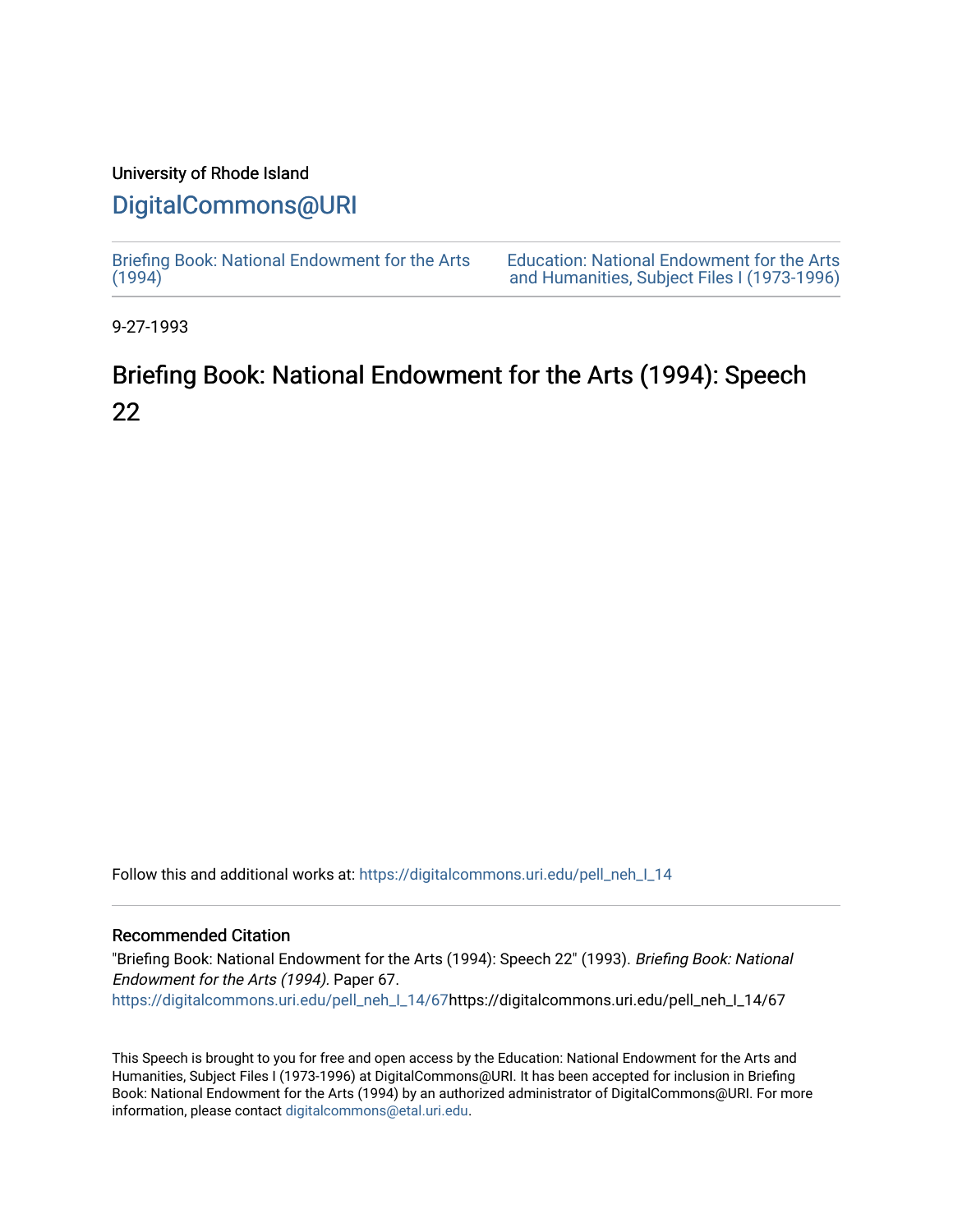## University of Rhode Island

## [DigitalCommons@URI](https://digitalcommons.uri.edu/)

[Briefing Book: National Endowment for the Arts](https://digitalcommons.uri.edu/pell_neh_I_14)  $(1994)$ [Education: National Endowment for the Arts](https://digitalcommons.uri.edu/pell_neh_I)  [and Humanities, Subject Files I \(1973-1996\)](https://digitalcommons.uri.edu/pell_neh_I) 

9-27-1993

## Briefing Book: National Endowment for the Arts (1994): Speech 22

Follow this and additional works at: [https://digitalcommons.uri.edu/pell\\_neh\\_I\\_14](https://digitalcommons.uri.edu/pell_neh_I_14?utm_source=digitalcommons.uri.edu%2Fpell_neh_I_14%2F67&utm_medium=PDF&utm_campaign=PDFCoverPages) 

## Recommended Citation

"Briefing Book: National Endowment for the Arts (1994): Speech 22" (1993). Briefing Book: National Endowment for the Arts (1994). Paper 67. [https://digitalcommons.uri.edu/pell\\_neh\\_I\\_14/67h](https://digitalcommons.uri.edu/pell_neh_I_14/67?utm_source=digitalcommons.uri.edu%2Fpell_neh_I_14%2F67&utm_medium=PDF&utm_campaign=PDFCoverPages)ttps://digitalcommons.uri.edu/pell\_neh\_I\_14/67

This Speech is brought to you for free and open access by the Education: National Endowment for the Arts and Humanities, Subject Files I (1973-1996) at DigitalCommons@URI. It has been accepted for inclusion in Briefing Book: National Endowment for the Arts (1994) by an authorized administrator of DigitalCommons@URI. For more information, please contact [digitalcommons@etal.uri.edu.](mailto:digitalcommons@etal.uri.edu)